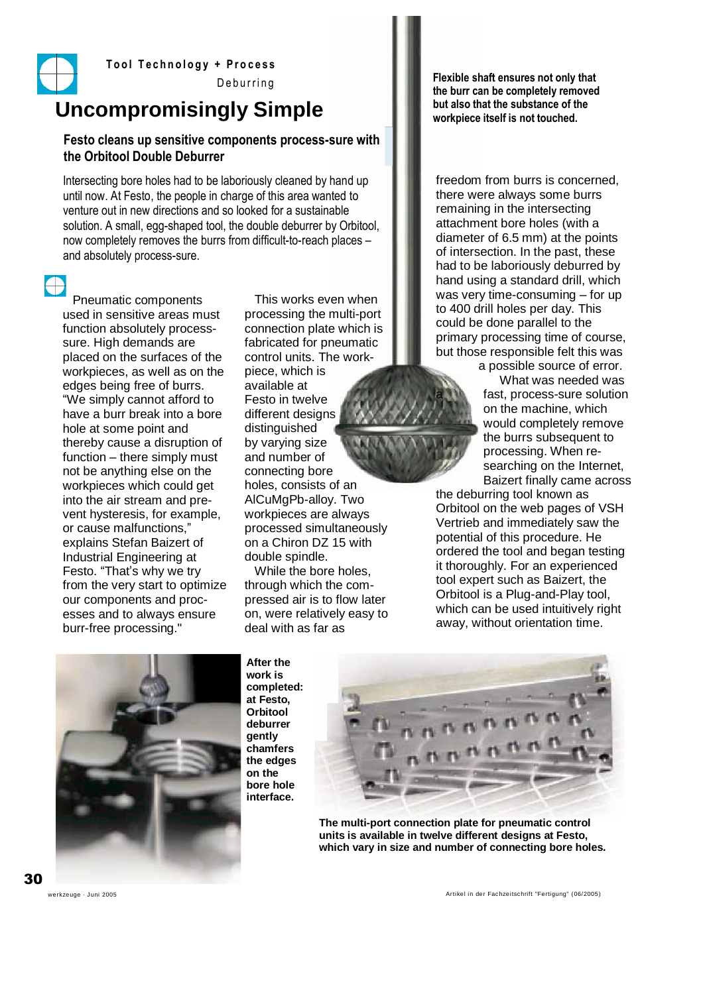

**Tool Technology + Process** 

Deburring

## **Uncompromisingly Simple**

### **Festo cleans up sensitive components process-sure with the Orbitool Double Deburrer**

Intersecting bore holes had to be laboriously cleaned by hand up until now. At Festo, the people in charge of this area wanted to venture out in new directions and so looked for a sustainable solution. A small, egg-shaped tool, the double deburrer by Orbitool, now completely removes the burrs from difficult-to-reach places – and absolutely process-sure.

Pneumatic components used in sensitive areas must function absolutely processsure. High demands are placed on the surfaces of the workpieces, as well as on the edges being free of burrs. "We simply cannot afford to have a burr break into a bore hole at some point and thereby cause a disruption of function – there simply must not be anything else on the workpieces which could get into the air stream and prevent hysteresis, for example, or cause malfunctions," explains Stefan Baizert of Industrial Engineering at Festo. "That's why we try from the very start to optimize our components and processes and to always ensure burr-free processing."

This works even when processing the multi-port connection plate which is fabricated for pneumatic control units. The workpiece, which is available at Festo in twelve different designs distinguished by varying size and number of connecting bore holes, consists of an AlCuMgPb-alloy. Two workpieces are always processed simultaneously on a Chiron DZ 15 with double spindle.

While the bore holes, through which the compressed air is to flow later on, were relatively easy to deal with as far as

**Flexible shaft ensures not only that the burr can be completely removed but also that the substance of the workpiece itself is not touched.**

freedom from burrs is concerned, there were always some burrs remaining in the intersecting attachment bore holes (with a diameter of 6.5 mm) at the points of intersection. In the past, these had to be laboriously deburred by hand using a standard drill, which was very time-consuming – for up to 400 drill holes per day. This could be done parallel to the primary processing time of course, but those responsible felt this was

a possible source of error. What was needed was fast, process-sure solution on the machine, which would completely remove the burrs subsequent to processing. When researching on the Internet, Baizert finally came across

the deburring tool known as Orbitool on the web pages of VSH Vertrieb and immediately saw the potential of this procedure. He ordered the tool and began testing it thoroughly. For an experienced tool expert such as Baizert, the Orbitool is a Plug-and-Play tool, which can be used intuitively right away, without orientation time.



**After the work is completed: at Festo, Orbitool deburrer gently chamfers the edges on the bore hole interface.**



**The multi-port connection plate for pneumatic control units is available in twelve different designs at Festo, which vary in size and number of connecting bore holes.**